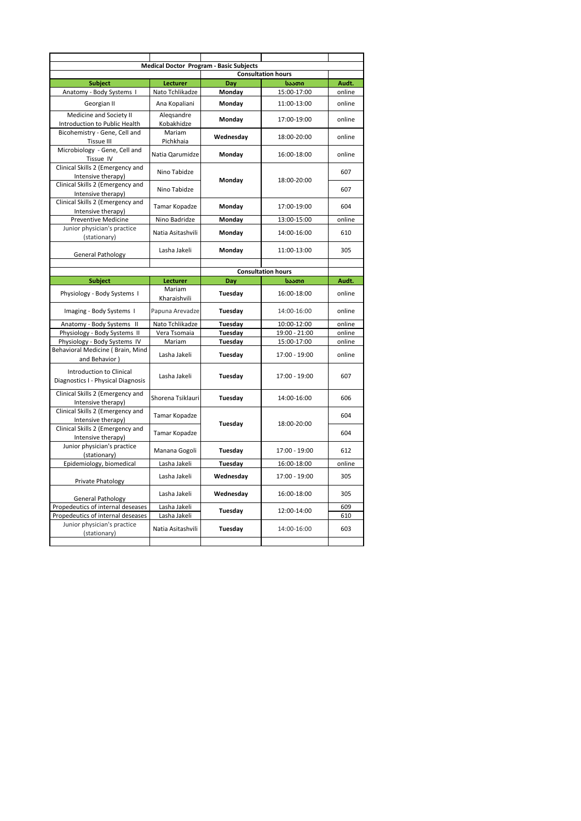| <b>Medical Doctor Program - Basic Subjects</b><br><b>Consultation hours</b> |                     |                           |               |        |  |  |  |  |
|-----------------------------------------------------------------------------|---------------------|---------------------------|---------------|--------|--|--|--|--|
| <b>Subject</b>                                                              | Lecturer            | Dav                       | საათი         | Audt.  |  |  |  |  |
| Anatomy - Body Systems I                                                    | Nato Tchlikadze     | Monday                    | 15:00-17:00   | online |  |  |  |  |
| Georgian II                                                                 | Ana Kopaliani       | Monday                    | 11:00-13:00   | online |  |  |  |  |
| Medicine and Society II                                                     | Alegsandre          | Monday                    | 17:00-19:00   | online |  |  |  |  |
| Introduction to Public Health                                               | Kobakhidze          |                           |               |        |  |  |  |  |
| Bicohemistry - Gene, Cell and<br><b>Tissue III</b>                          | Mariam<br>Pichkhaia | Wednesday                 | 18:00-20:00   | online |  |  |  |  |
| Microbiology - Gene, Cell and<br>Tissue IV                                  | Natia Qarumidze     | Monday                    | 16:00-18:00   | online |  |  |  |  |
| Clinical Skills 2 (Emergency and<br>Intensive therapy)                      | Nino Tabidze        | Monday                    | 18:00-20:00   | 607    |  |  |  |  |
| Clinical Skills 2 (Emergency and<br>Intensive therapy)                      | Nino Tabidze        |                           |               | 607    |  |  |  |  |
| Clinical Skills 2 (Emergency and<br>Intensive therapy)                      | Tamar Kopadze       | Monday                    | 17:00-19:00   | 604    |  |  |  |  |
| <b>Preventive Medicine</b>                                                  | Nino Badridze       | Monday                    | 13:00-15:00   | online |  |  |  |  |
| Junior physician's practice                                                 |                     |                           |               |        |  |  |  |  |
| (stationary)                                                                | Natia Asitashvili   | Monday                    | 14:00-16:00   | 610    |  |  |  |  |
| <b>General Pathology</b>                                                    | Lasha Jakeli        | Monday                    | 11:00-13:00   | 305    |  |  |  |  |
|                                                                             |                     |                           |               |        |  |  |  |  |
|                                                                             |                     | <b>Consultation hours</b> |               |        |  |  |  |  |
| <b>Subject</b>                                                              | Lecturer<br>Mariam  | Day                       | საათი         | Audt.  |  |  |  |  |
| Physiology - Body Systems I                                                 | Kharaishvili        | Tuesday                   | 16:00-18:00   | online |  |  |  |  |
| Imaging - Body Systems I                                                    | Papuna Arevadze     | Tuesday                   | 14:00-16:00   | online |  |  |  |  |
| Anatomy - Body Systems II                                                   | Nato Tchlikadze     | Tuesday                   | 10:00-12:00   | online |  |  |  |  |
| Physiology - Body Systems II                                                | Vera Tsomaia        | Tuesday                   | 19:00 - 21:00 | online |  |  |  |  |
| Physiology - Body Systems IV                                                | Mariam              | Tuesday                   | 15:00-17:00   | online |  |  |  |  |
| Behavioral Medicine (Brain, Mind<br>and Behavior)                           | Lasha Jakeli        | Tuesday                   | 17:00 - 19:00 | online |  |  |  |  |
| Introduction to Clinical<br>Diagnostics I - Physical Diagnosis              | Lasha Jakeli        | Tuesday                   | 17:00 - 19:00 | 607    |  |  |  |  |
| Clinical Skills 2 (Emergency and<br>Intensive therapy)                      | Shorena Tsiklauri   | Tuesday                   | 14:00-16:00   | 606    |  |  |  |  |
| Clinical Skills 2 (Emergency and<br>Intensive therapy)                      | Tamar Kopadze       |                           | 18:00-20:00   | 604    |  |  |  |  |
| Clinical Skills 2 (Emergency and<br>Intensive therapy)                      | Tamar Kopadze       | Tuesday                   |               | 604    |  |  |  |  |
| Junior physician's practice<br>(stationary)                                 | Manana Gogoli       | Tuesday                   | 17:00 - 19:00 | 612    |  |  |  |  |
| Epidemiology, biomedical                                                    | Lasha Jakeli        | Tuesday                   | 16:00-18:00   | online |  |  |  |  |
| Private Phatology                                                           | Lasha Jakeli        | Wednesday                 | 17:00 - 19:00 | 305    |  |  |  |  |
| <b>General Pathology</b>                                                    | Lasha Jakeli        | Wednesday                 | 16:00-18:00   | 305    |  |  |  |  |
| Propedeutics of internal deseases                                           | Lasha Jakeli        |                           |               | 609    |  |  |  |  |
| Propedeutics of internal deseases                                           | Lasha Jakeli        | Tuesday                   | 12:00-14:00   | 610    |  |  |  |  |
| Junior physician's practice<br>(stationary)                                 | Natia Asitashvili   | Tuesday                   | 14:00-16:00   | 603    |  |  |  |  |
|                                                                             |                     |                           |               |        |  |  |  |  |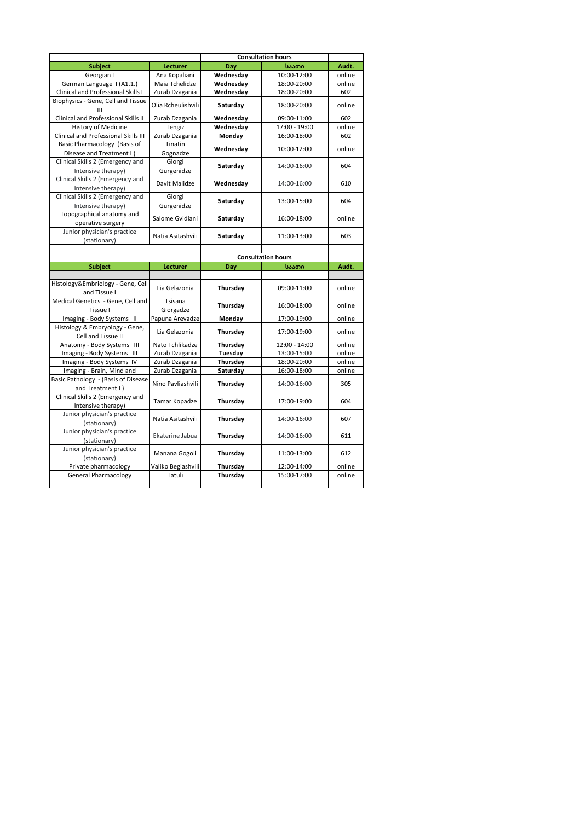|                                                                  |                    |           | <b>Consultation hours</b> |        |
|------------------------------------------------------------------|--------------------|-----------|---------------------------|--------|
| <b>Subject</b>                                                   | Lecturer           | Dav       | საათი                     | Audt.  |
| Georgian I                                                       | Ana Kopaliani      | Wednesday | 10:00-12:00               | online |
| German Language I (A1.1.)                                        | Maia Tchelidze     | Wednesday | 18:00-20:00               | online |
| Clinical and Professional Skills I                               | Zurab Dzagania     | Wednesday | 18:00-20:00               | 602    |
| Biophysics - Gene, Cell and Tissue                               | Olia Rcheulishvili | Saturday  | 18:00-20:00               | online |
| Clinical and Professional Skills II                              | Zurab Dzagania     | Wednesday | 09:00-11:00               | 602    |
| <b>History of Medicine</b>                                       | Tengiz             | Wednesday | 17:00 - 19:00             | online |
| Clinical and Professional Skills III                             | Zurab Dzagania     | Monday    | 16:00-18:00               | 602    |
| Basic Pharmacology (Basis of                                     | Tinatin            |           |                           |        |
| Disease and Treatment I)                                         | Gognadze           | Wednesday | 10:00-12:00               | online |
| Clinical Skills 2 (Emergency and                                 | Giorgi             |           |                           |        |
|                                                                  |                    | Saturday  | 14:00-16:00               | 604    |
| Intensive therapy)                                               | Gurgenidze         |           |                           |        |
| Clinical Skills 2 (Emergency and<br>Intensive therapy)           | Davit Malidze      | Wednesday | 14:00-16:00               | 610    |
| Clinical Skills 2 (Emergency and                                 | Giorgi             |           |                           |        |
| Intensive therapy)                                               | Gurgenidze         | Saturday  | 13:00-15:00               | 604    |
| Topographical anatomy and                                        |                    |           |                           |        |
| operative surgery                                                | Salome Gvidiani    | Saturday  | 16:00-18:00               | online |
| Junior physician's practice                                      |                    |           |                           |        |
| (stationary)                                                     | Natia Asitashvili  | Saturday  | 11:00-13:00               | 603    |
|                                                                  |                    |           |                           |        |
|                                                                  |                    |           | <b>Consultation hours</b> |        |
| <b>Subject</b>                                                   | <b>Lecturer</b>    | Day       | საათი                     | Audt.  |
|                                                                  |                    |           |                           |        |
|                                                                  |                    |           |                           |        |
| Histology&Embriology - Gene, Cell                                |                    |           |                           |        |
| and Tissue I                                                     | Lia Gelazonia      | Thursday  | 09:00-11:00               | online |
| Medical Genetics - Gene, Cell and                                | Tsisana            |           |                           |        |
| Tissue I                                                         | Giorgadze          | Thursday  | 16:00-18:00               | online |
| Imaging - Body Systems II                                        | Papuna Arevadze    | Monday    | 17:00-19:00               | online |
| Histology & Embryology - Gene,                                   |                    |           |                           |        |
| Cell and Tissue II                                               | Lia Gelazonia      | Thursday  | 17:00-19:00               | online |
| Anatomy - Body Systems III                                       | Nato Tchlikadze    | Thursday  | 12:00 - 14:00             | online |
| Imaging - Body Systems III                                       | Zurab Dzagania     | Tuesday   | 13:00-15:00               | online |
| Imaging - Body Systems IV                                        | Zurab Dzagania     | Thursday  | 18:00-20:00               | online |
|                                                                  | Zurab Dzagania     | Saturday  | 16:00-18:00               | online |
| Imaging - Brain, Mind and<br>Basic Pathology - (Basis of Disease |                    |           |                           |        |
| and Treatment I)                                                 | Nino Pavliashvili  | Thursday  | 14:00-16:00               | 305    |
| Clinical Skills 2 (Emergency and                                 |                    |           |                           |        |
| Intensive therapy)                                               | Tamar Kopadze      | Thursday  | 17:00-19:00               | 604    |
| Junior physician's practice                                      |                    |           |                           |        |
| (stationary)                                                     | Natia Asitashvili  | Thursday  | 14:00-16:00               | 607    |
| Junior physician's practice                                      |                    |           |                           |        |
| (stationary)                                                     | Ekaterine Jabua    | Thursday  | 14:00-16:00               | 611    |
| Junior physician's practice                                      |                    |           |                           |        |
| (stationary)                                                     | Manana Gogoli      | Thursday  | 11:00-13:00               | 612    |
| Private pharmacology                                             | Valiko Begiashvili | Thursday  | 12:00-14:00               | online |
| <b>General Pharmacology</b>                                      | Tatuli             | Thursday  | 15:00-17:00               | online |